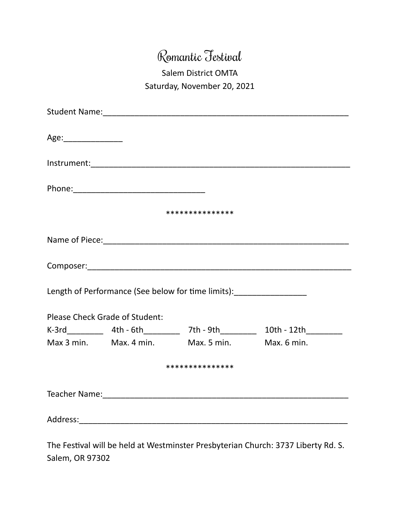## Romantic Festival

## Salem District OMTA Saturday, November 20, 2021

| ***************                                                                  |  |                                                |  |
|----------------------------------------------------------------------------------|--|------------------------------------------------|--|
|                                                                                  |  |                                                |  |
|                                                                                  |  |                                                |  |
| Length of Performance (See below for time limits): _____________________________ |  |                                                |  |
| <b>Please Check Grade of Student:</b>                                            |  |                                                |  |
|                                                                                  |  |                                                |  |
|                                                                                  |  | Max 3 min. Max. 4 min. Max. 5 min. Max. 6 min. |  |
| ***************                                                                  |  |                                                |  |
|                                                                                  |  |                                                |  |
|                                                                                  |  |                                                |  |

The Festival will be held at Westminster Presbyterian Church: 3737 Liberty Rd. S. Salem, OR 97302